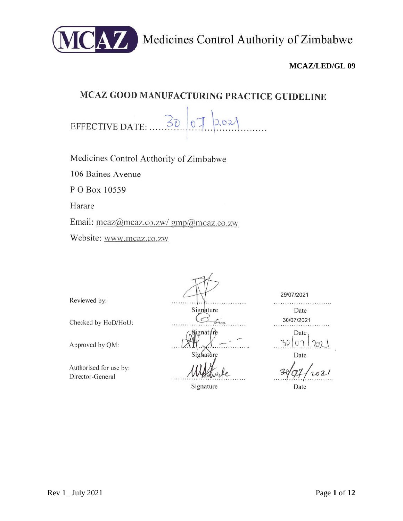

Medicines Control Authority of Zimbabwe

# **MCAZ/LED/GL 09**

# MCAZ GOOD MANUFACTURING PRACTICE GUIDELINE

 $50$  $O2$ EFFECTIVE DATE:  $\mathbf{0}$ .

Medicines Control Authority of Zimbabwe

106 Baines Avenue

P O Box 10559

Harare

Email: mcaz@mcaz.co.zw/ gmp@mcaz.co.zw

Website: www.mcaz.co.zw

Reviewed by:

Checked by HoD/HoU:

Approved by QM:

Authorised for use by: Director-General

Signature  $\epsilon$ ignatúre Sighature

Signature

29/07/2021 

> Date 30/07/2021

Date  $C<sub>1</sub>$  $30<sub>1</sub>$ 

Date

Date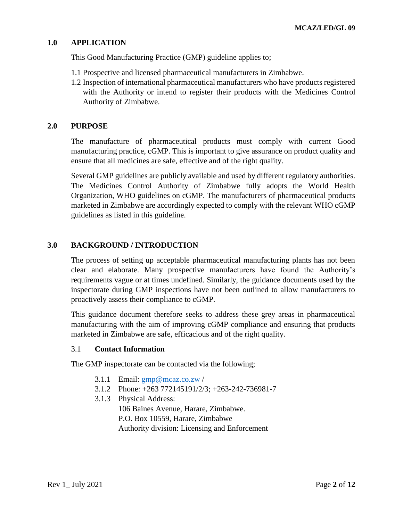#### **1.0 APPLICATION**

This Good Manufacturing Practice (GMP) guideline applies to;

- 1.1 Prospective and licensed pharmaceutical manufacturers in Zimbabwe.
- 1.2 Inspection of international pharmaceutical manufacturers who have products registered with the Authority or intend to register their products with the Medicines Control Authority of Zimbabwe.

#### **2.0 PURPOSE**

The manufacture of pharmaceutical products must comply with current Good manufacturing practice, cGMP. This is important to give assurance on product quality and ensure that all medicines are safe, effective and of the right quality.

Several GMP guidelines are publicly available and used by different regulatory authorities. The Medicines Control Authority of Zimbabwe fully adopts the World Health Organization, WHO guidelines on cGMP. The manufacturers of pharmaceutical products marketed in Zimbabwe are accordingly expected to comply with the relevant WHO cGMP guidelines as listed in this guideline.

#### **3.0 BACKGROUND / INTRODUCTION**

The process of setting up acceptable pharmaceutical manufacturing plants has not been clear and elaborate. Many prospective manufacturers have found the Authority's requirements vague or at times undefined. Similarly, the guidance documents used by the inspectorate during GMP inspections have not been outlined to allow manufacturers to proactively assess their compliance to cGMP.

This guidance document therefore seeks to address these grey areas in pharmaceutical manufacturing with the aim of improving cGMP compliance and ensuring that products marketed in Zimbabwe are safe, efficacious and of the right quality.

#### 3.1 **Contact Information**

The GMP inspectorate can be contacted via the following;

- 3.1.1 Email:  $gmp@mcaz.co.zw$
- 3.1.2 Phone: +263 772145191/2/3; +263-242-736981-7
- 3.1.3 Physical Address:

106 Baines Avenue, Harare, Zimbabwe. P.O. Box 10559, Harare, Zimbabwe Authority division: Licensing and Enforcement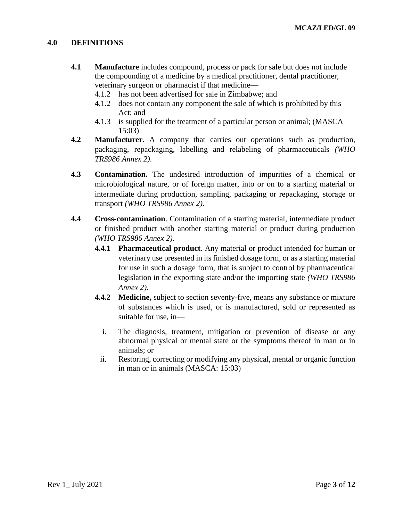#### **4.0 DEFINITIONS**

- **4.1 Manufacture** includes compound, process or pack for sale but does not include the compounding of a medicine by a medical practitioner, dental practitioner, veterinary surgeon or pharmacist if that medicine—
	- 4.1.2 has not been advertised for sale in Zimbabwe; and
	- 4.1.2 does not contain any component the sale of which is prohibited by this Act; and
	- 4.1.3 is supplied for the treatment of a particular person or animal; (MASCA 15:03)
- **4.2 Manufacturer.** A company that carries out operations such as production, packaging, repackaging, labelling and relabeling of pharmaceuticals *(WHO TRS986 Annex 2)*.
- **4.3 Contamination.** The undesired introduction of impurities of a chemical or microbiological nature, or of foreign matter, into or on to a starting material or intermediate during production, sampling, packaging or repackaging, storage or transport *(WHO TRS986 Annex 2)*.
- **4.4 Cross-contamination**. Contamination of a starting material, intermediate product or finished product with another starting material or product during production *(WHO TRS986 Annex 2)*.
	- **4.4.1 Pharmaceutical product**. Any material or product intended for human or veterinary use presented in its finished dosage form, or as a starting material for use in such a dosage form, that is subject to control by pharmaceutical legislation in the exporting state and/or the importing state *(WHO TRS986 Annex 2)*.
	- **4.4.2 Medicine,** subject to section seventy-five, means any substance or mixture of substances which is used, or is manufactured, sold or represented as suitable for use, in
		- i. The diagnosis, treatment, mitigation or prevention of disease or any abnormal physical or mental state or the symptoms thereof in man or in animals; or
		- ii. Restoring, correcting or modifying any physical, mental or organic function in man or in animals (MASCA: 15:03)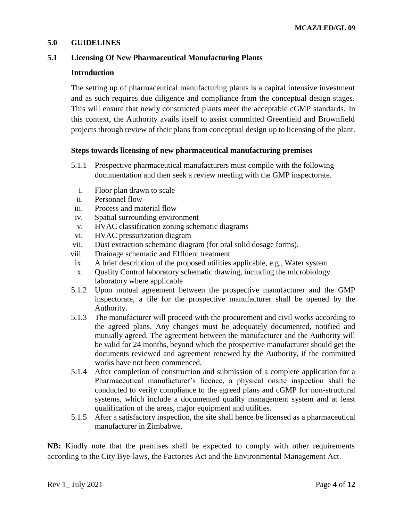#### **5.0 GUIDELINES**

#### **5.1 Licensing Of New Pharmaceutical Manufacturing Plants**

#### **Introduction**

The setting up of pharmaceutical manufacturing plants is a capital intensive investment and as such requires due diligence and compliance from the conceptual design stages. This will ensure that newly constructed plants meet the acceptable cGMP standards. In this context, the Authority avails itself to assist committed Greenfield and Brownfield projects through review of their plans from conceptual design up to licensing of the plant.

#### **Steps towards licensing of new pharmaceutical manufacturing premises**

- 5.1.1 Prospective pharmaceutical manufacturers must compile with the following documentation and then seek a review meeting with the GMP inspectorate.
	- i. Floor plan drawn to scale
	- ii. Personnel flow
- iii. Process and material flow
- iv. Spatial surrounding environment
- v. HVAC classification zoning schematic diagrams
- vi. HVAC pressurization diagram
- vii. Dust extraction schematic diagram (for oral solid dosage forms).
- viii. Drainage schematic and Effluent treatment
- ix. A brief description of the proposed utilities applicable, e.g., Water system
- x. Quality Control laboratory schematic drawing, including the microbiology laboratory where applicable
- 5.1.2 Upon mutual agreement between the prospective manufacturer and the GMP inspectorate, a file for the prospective manufacturer shall be opened by the Authority.
- 5.1.3 The manufacturer will proceed with the procurement and civil works according to the agreed plans. Any changes must be adequately documented, notified and mutually agreed. The agreement between the manufacturer and the Authority will be valid for 24 months, beyond which the prospective manufacturer should get the documents reviewed and agreement renewed by the Authority, if the committed works have not been commenced.
- 5.1.4 After completion of construction and submission of a complete application for a Pharmaceutical manufacturer's licence, a physical onsite inspection shall be conducted to verify compliance to the agreed plans and cGMP for non-structural systems, which include a documented quality management system and at least qualification of the areas, major equipment and utilities.
- 5.1.5 After a satisfactory inspection, the site shall hence be licensed as a pharmaceutical manufacturer in Zimbabwe.

**NB:** Kindly note that the premises shall be expected to comply with other requirements according to the City Bye-laws, the Factories Act and the Environmental Management Act.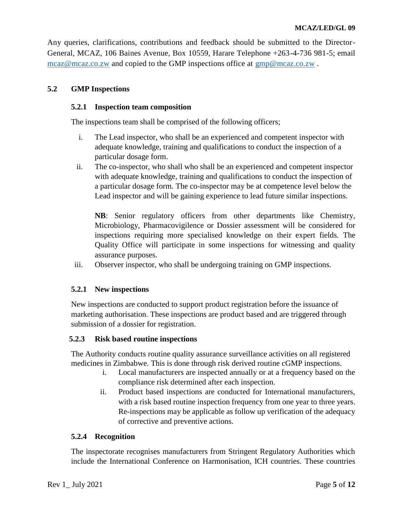Any queries, clarifications, contributions and feedback should be submitted to the Director-General, MCAZ, 106 Baines Avenue, Box 10559, Harare Telephone +263-4-736 981-5; email [mcaz@mcaz.co.zw](mailto:mcaz@mcaz.co.zw) and copied to the GMP inspections office at [gmp@mcaz.co.zw](mailto:gmp@mcaz.co.zw) .

## **5.2 GMP Inspections**

## **5.2.1 Inspection team composition**

The inspections team shall be comprised of the following officers;

- i. The Lead inspector, who shall be an experienced and competent inspector with adequate knowledge, training and qualifications to conduct the inspection of a particular dosage form.
- ii. The co-inspector, who shall who shall be an experienced and competent inspector with adequate knowledge, training and qualifications to conduct the inspection of a particular dosage form. The co-inspector may be at competence level below the Lead inspector and will be gaining experience to lead future similar inspections.

**NB**: Senior regulatory officers from other departments like Chemistry, Microbiology, Pharmacovigilence or Dossier assessment will be considered for inspections requiring more specialised knowledge on their expert fields. The Quality Office will participate in some inspections for witnessing and quality assurance purposes.

iii. Observer inspector, who shall be undergoing training on GMP inspections.

## **5.2.1 New inspections**

New inspections are conducted to support product registration before the issuance of marketing authorisation. These inspections are product based and are triggered through submission of a dossier for registration.

## **5.2.3 Risk based routine inspections**

The Authority conducts routine quality assurance surveillance activities on all registered medicines in Zimbabwe. This is done through risk derived routine cGMP inspections.

- i. Local manufacturers are inspected annually or at a frequency based on the compliance risk determined after each inspection.
- ii. Product based inspections are conducted for International manufacturers, with a risk based routine inspection frequency from one year to three years. Re-inspections may be applicable as follow up verification of the adequacy of corrective and preventive actions.

### **5.2.4 Recognition**

The inspectorate recognises manufacturers from Stringent Regulatory Authorities which include the International Conference on Harmonisation, ICH countries. These countries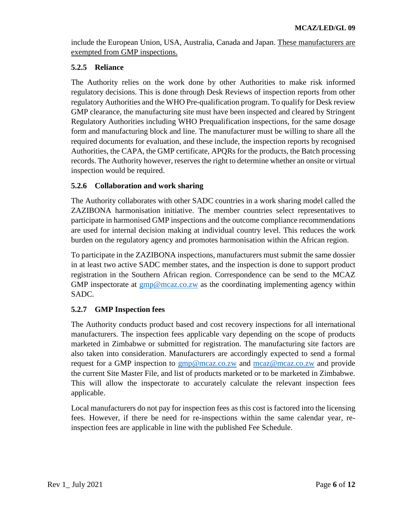include the European Union, USA, Australia, Canada and Japan. These manufacturers are exempted from GMP inspections.

## **5.2.5 Reliance**

The Authority relies on the work done by other Authorities to make risk informed regulatory decisions. This is done through Desk Reviews of inspection reports from other regulatory Authorities and the WHO Pre-qualification program. To qualify for Desk review GMP clearance, the manufacturing site must have been inspected and cleared by Stringent Regulatory Authorities including WHO Prequalification inspections, for the same dosage form and manufacturing block and line. The manufacturer must be willing to share all the required documents for evaluation, and these include, the inspection reports by recognised Authorities, the CAPA, the GMP certificate, APQRs for the products, the Batch processing records. The Authority however, reserves the right to determine whether an onsite or virtual inspection would be required.

## **5.2.6 Collaboration and work sharing**

The Authority collaborates with other SADC countries in a work sharing model called the ZAZIBONA harmonisation initiative. The member countries select representatives to participate in harmonised GMP inspections and the outcome compliance recommendations are used for internal decision making at individual country level. This reduces the work burden on the regulatory agency and promotes harmonisation within the African region.

To participate in the ZAZIBONA inspections, manufacturers must submit the same dossier in at least two active SADC member states, and the inspection is done to support product registration in the Southern African region. Correspondence can be send to the MCAZ GMP inspectorate at  $gmp@meaz.co.zw$  as the coordinating implementing agency within SADC.

## **5.2.7 GMP Inspection fees**

The Authority conducts product based and cost recovery inspections for all international manufacturers. The inspection fees applicable vary depending on the scope of products marketed in Zimbabwe or submitted for registration. The manufacturing site factors are also taken into consideration. Manufacturers are accordingly expected to send a formal request for a GMP inspection to  $gmp@meaz.co.zw$  and [mcaz@mcaz.co.zw](mailto:mcaz@mcaz.co.zw) and provide the current Site Master File, and list of products marketed or to be marketed in Zimbabwe. This will allow the inspectorate to accurately calculate the relevant inspection fees applicable.

Local manufacturers do not pay for inspection fees as this cost is factored into the licensing fees. However, if there be need for re-inspections within the same calendar year, reinspection fees are applicable in line with the published Fee Schedule.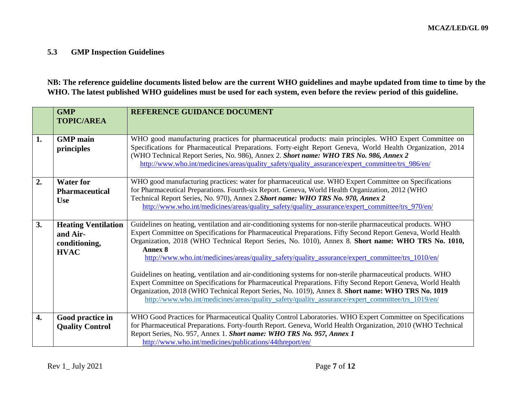# **5.3 GMP Inspection Guidelines**

**NB: The reference guideline documents listed below are the current WHO guidelines and maybe updated from time to time by the WHO. The latest published WHO guidelines must be used for each system, even before the review period of this guideline.**

|                  | <b>GMP</b><br><b>TOPIC/AREA</b>                                        | REFERENCE GUIDANCE DOCUMENT                                                                                                                                                                                                                                                                                                                                                                                                                                                                                                                                                                                                                                                                                                                                                                                                                                                                  |  |
|------------------|------------------------------------------------------------------------|----------------------------------------------------------------------------------------------------------------------------------------------------------------------------------------------------------------------------------------------------------------------------------------------------------------------------------------------------------------------------------------------------------------------------------------------------------------------------------------------------------------------------------------------------------------------------------------------------------------------------------------------------------------------------------------------------------------------------------------------------------------------------------------------------------------------------------------------------------------------------------------------|--|
| 1.               | <b>GMP</b> main<br>principles                                          | WHO good manufacturing practices for pharmaceutical products: main principles. WHO Expert Committee on<br>Specifications for Pharmaceutical Preparations. Forty-eight Report Geneva, World Health Organization, 2014<br>(WHO Technical Report Series, No. 986), Annex 2. Short name: WHO TRS No. 986, Annex 2<br>http://www.who.int/medicines/areas/quality_safety/quality_assurance/expert_committee/trs_986/en/                                                                                                                                                                                                                                                                                                                                                                                                                                                                            |  |
| 2.               | <b>Water for</b><br><b>Pharmaceutical</b><br><b>Use</b>                | WHO good manufacturing practices: water for pharmaceutical use. WHO Expert Committee on Specifications<br>for Pharmaceutical Preparations. Fourth-six Report. Geneva, World Health Organization, 2012 (WHO<br>Technical Report Series, No. 970), Annex 2. Short name: WHO TRS No. 970, Annex 2<br>http://www.who.int/medicines/areas/quality_safety/quality_assurance/expert_committee/trs_970/en/                                                                                                                                                                                                                                                                                                                                                                                                                                                                                           |  |
| 3.               | <b>Heating Ventilation</b><br>and Air-<br>conditioning,<br><b>HVAC</b> | Guidelines on heating, ventilation and air-conditioning systems for non-sterile pharmaceutical products. WHO<br>Expert Committee on Specifications for Pharmaceutical Preparations. Fifty Second Report Geneva, World Health<br>Organization, 2018 (WHO Technical Report Series, No. 1010), Annex 8. Short name: WHO TRS No. 1010,<br>Annex 8<br>http://www.who.int/medicines/areas/quality_safety/quality_assurance/expert_committee/trs_1010/en/<br>Guidelines on heating, ventilation and air-conditioning systems for non-sterile pharmaceutical products. WHO<br>Expert Committee on Specifications for Pharmaceutical Preparations. Fifty Second Report Geneva, World Health<br>Organization, 2018 (WHO Technical Report Series, No. 1019), Annex 8. Short name: WHO TRS No. 1019<br>http://www.who.int/medicines/areas/quality safety/quality assurance/expert committee/trs 1019/en/ |  |
| $\overline{4}$ . | Good practice in<br><b>Quality Control</b>                             | WHO Good Practices for Pharmaceutical Quality Control Laboratories. WHO Expert Committee on Specifications<br>for Pharmaceutical Preparations. Forty-fourth Report. Geneva, World Health Organization, 2010 (WHO Technical<br>Report Series, No. 957, Annex 1. Short name: WHO TRS No. 957, Annex 1<br>http://www.who.int/medicines/publications/44threport/en/                                                                                                                                                                                                                                                                                                                                                                                                                                                                                                                              |  |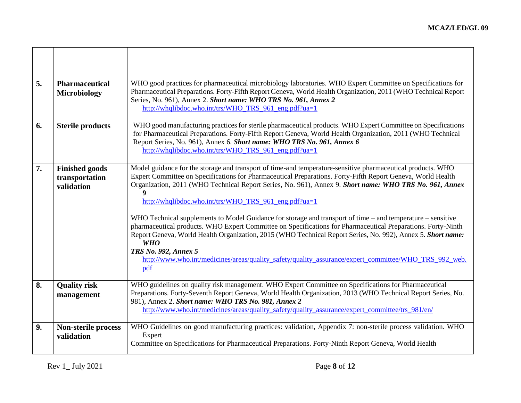| 5. | <b>Pharmaceutical</b><br>Microbiology                 | WHO good practices for pharmaceutical microbiology laboratories. WHO Expert Committee on Specifications for<br>Pharmaceutical Preparations. Forty-Fifth Report Geneva, World Health Organization, 2011 (WHO Technical Report<br>Series, No. 961), Annex 2. Short name: WHO TRS No. 961, Annex 2<br>http://whqlibdoc.who.int/trs/WHO_TRS_961_eng.pdf?ua=1                                                                                                                                                                                                                                                                                                                                                                                                                                                                                                                                          |
|----|-------------------------------------------------------|---------------------------------------------------------------------------------------------------------------------------------------------------------------------------------------------------------------------------------------------------------------------------------------------------------------------------------------------------------------------------------------------------------------------------------------------------------------------------------------------------------------------------------------------------------------------------------------------------------------------------------------------------------------------------------------------------------------------------------------------------------------------------------------------------------------------------------------------------------------------------------------------------|
| 6. | <b>Sterile products</b>                               | WHO good manufacturing practices for sterile pharmaceutical products. WHO Expert Committee on Specifications<br>for Pharmaceutical Preparations. Forty-Fifth Report Geneva, World Health Organization, 2011 (WHO Technical<br>Report Series, No. 961), Annex 6. Short name: WHO TRS No. 961, Annex 6<br>http://whqlibdoc.who.int/trs/WHO_TRS_961_eng.pdf?ua=1                                                                                                                                                                                                                                                                                                                                                                                                                                                                                                                                     |
| 7. | <b>Finished goods</b><br>transportation<br>validation | Model guidance for the storage and transport of time-and temperature-sensitive pharmaceutical products. WHO<br>Expert Committee on Specifications for Pharmaceutical Preparations. Forty-Fifth Report Geneva, World Health<br>Organization, 2011 (WHO Technical Report Series, No. 961), Annex 9. Short name: WHO TRS No. 961, Annex<br>http://whqlibdoc.who.int/trs/WHO_TRS_961_eng.pdf?ua=1<br>WHO Technical supplements to Model Guidance for storage and transport of time – and temperature – sensitive<br>pharmaceutical products. WHO Expert Committee on Specifications for Pharmaceutical Preparations. Forty-Ninth<br>Report Geneva, World Health Organization, 2015 (WHO Technical Report Series, No. 992), Annex 5. Short name:<br><b>WHO</b><br>TRS No. 992, Annex 5<br>http://www.who.int/medicines/areas/quality safety/quality assurance/expert committee/WHO TRS 992 web.<br>pdf |
| 8. | <b>Quality risk</b><br>management                     | WHO guidelines on quality risk management. WHO Expert Committee on Specifications for Pharmaceutical<br>Preparations. Forty-Seventh Report Geneva, World Health Organization, 2013 (WHO Technical Report Series, No.<br>981), Annex 2. Short name: WHO TRS No. 981, Annex 2<br>http://www.who.int/medicines/areas/quality safety/quality assurance/expert committee/trs 981/en/                                                                                                                                                                                                                                                                                                                                                                                                                                                                                                                   |
| 9. | <b>Non-sterile process</b><br>validation              | WHO Guidelines on good manufacturing practices: validation, Appendix 7: non-sterile process validation. WHO<br>Expert<br>Committee on Specifications for Pharmaceutical Preparations. Forty-Ninth Report Geneva, World Health                                                                                                                                                                                                                                                                                                                                                                                                                                                                                                                                                                                                                                                                     |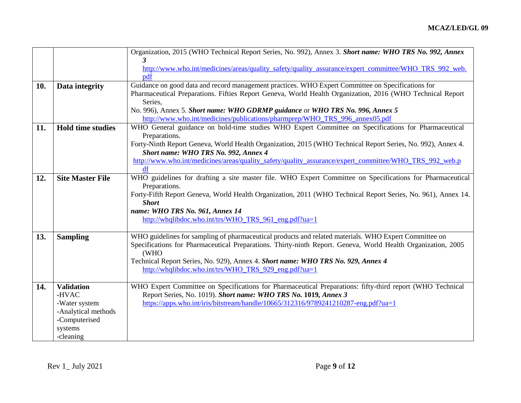|     |                                                                                                                                 | Organization, 2015 (WHO Technical Report Series, No. 992), Annex 3. Short name: WHO TRS No. 992, Annex       |  |  |
|-----|---------------------------------------------------------------------------------------------------------------------------------|--------------------------------------------------------------------------------------------------------------|--|--|
|     |                                                                                                                                 |                                                                                                              |  |  |
|     |                                                                                                                                 | http://www.who.int/medicines/areas/quality_safety/quality_assurance/expert_committee/WHO_TRS_992_web.        |  |  |
|     |                                                                                                                                 | pdf                                                                                                          |  |  |
| 10. | Data integrity                                                                                                                  | Guidance on good data and record management practices. WHO Expert Committee on Specifications for            |  |  |
|     | Pharmaceutical Preparations. Fifties Report Geneva, World Health Organization, 2016 (WHO Technical Report                       |                                                                                                              |  |  |
|     |                                                                                                                                 | Series,                                                                                                      |  |  |
|     |                                                                                                                                 | No. 996), Annex 5. Short name: WHO GDRMP guidance or WHO TRS No. 996, Annex 5                                |  |  |
|     |                                                                                                                                 | http://www.who.int/medicines/publications/pharmprep/WHO_TRS_996_annex05.pdf                                  |  |  |
| 11. | WHO General guidance on hold-time studies WHO Expert Committee on Specifications for Pharmaceutical<br><b>Hold time studies</b> |                                                                                                              |  |  |
|     |                                                                                                                                 | Preparations.                                                                                                |  |  |
|     |                                                                                                                                 | Forty-Ninth Report Geneva, World Health Organization, 2015 (WHO Technical Report Series, No. 992), Annex 4.  |  |  |
|     |                                                                                                                                 | Short name: WHO TRS No. 992, Annex 4                                                                         |  |  |
|     |                                                                                                                                 | http://www.who.int/medicines/areas/quality_safety/quality_assurance/expert_committee/WHO_TRS_992_web.p       |  |  |
|     |                                                                                                                                 | df                                                                                                           |  |  |
| 12. | <b>Site Master File</b>                                                                                                         | WHO guidelines for drafting a site master file. WHO Expert Committee on Specifications for Pharmaceutical    |  |  |
|     |                                                                                                                                 | Preparations.                                                                                                |  |  |
|     |                                                                                                                                 | Forty-Fifth Report Geneva, World Health Organization, 2011 (WHO Technical Report Series, No. 961), Annex 14. |  |  |
|     |                                                                                                                                 | <b>Short</b>                                                                                                 |  |  |
|     |                                                                                                                                 | name: WHO TRS No. 961, Annex 14                                                                              |  |  |
|     |                                                                                                                                 | http://whqlibdoc.who.int/trs/WHO_TRS_961_eng.pdf?ua=1                                                        |  |  |
|     |                                                                                                                                 |                                                                                                              |  |  |
| 13. | <b>Sampling</b>                                                                                                                 | WHO guidelines for sampling of pharmaceutical products and related materials. WHO Expert Committee on        |  |  |
|     |                                                                                                                                 | Specifications for Pharmaceutical Preparations. Thirty-ninth Report. Geneva, World Health Organization, 2005 |  |  |
|     |                                                                                                                                 | (WHO                                                                                                         |  |  |
|     |                                                                                                                                 | Technical Report Series, No. 929), Annex 4. Short name: WHO TRS No. 929, Annex 4                             |  |  |
|     |                                                                                                                                 | http://whqlibdoc.who.int/trs/WHO_TRS_929_eng.pdf?ua=1                                                        |  |  |
| 14. | <b>Validation</b>                                                                                                               | WHO Expert Committee on Specifications for Pharmaceutical Preparations: fifty-third report (WHO Technical    |  |  |
|     | -HVAC                                                                                                                           | Report Series, No. 1019). Short name: WHO TRS No. 1019, Annex 3                                              |  |  |
|     | -Water system                                                                                                                   | https://apps.who.int/iris/bitstream/handle/10665/312316/9789241210287-eng.pdf?ua=1                           |  |  |
|     | -Analytical methods                                                                                                             |                                                                                                              |  |  |
|     | -Computerised                                                                                                                   |                                                                                                              |  |  |
|     | systems                                                                                                                         |                                                                                                              |  |  |
|     | -cleaning                                                                                                                       |                                                                                                              |  |  |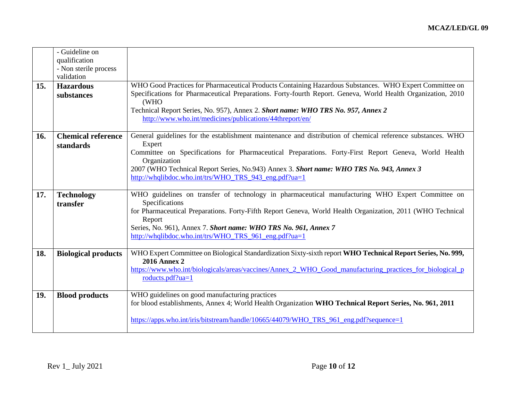|     | - Guideline on             |                                                                                                                      |
|-----|----------------------------|----------------------------------------------------------------------------------------------------------------------|
|     | qualification              |                                                                                                                      |
|     | - Non sterile process      |                                                                                                                      |
|     | validation                 |                                                                                                                      |
| 15. | <b>Hazardous</b>           | WHO Good Practices for Pharmaceutical Products Containing Hazardous Substances. WHO Expert Committee on              |
|     |                            |                                                                                                                      |
|     | substances                 | Specifications for Pharmaceutical Preparations. Forty-fourth Report. Geneva, World Health Organization, 2010<br>(WHO |
|     |                            | Technical Report Series, No. 957), Annex 2. Short name: WHO TRS No. 957, Annex 2                                     |
|     |                            | http://www.who.int/medicines/publications/44threport/en/                                                             |
|     |                            |                                                                                                                      |
|     | <b>Chemical reference</b>  | General guidelines for the establishment maintenance and distribution of chemical reference substances. WHO          |
| 16. |                            |                                                                                                                      |
|     | standards                  | Expert                                                                                                               |
|     |                            | Committee on Specifications for Pharmaceutical Preparations. Forty-First Report Geneva, World Health                 |
|     |                            | Organization                                                                                                         |
|     |                            | 2007 (WHO Technical Report Series, No.943) Annex 3. Short name: WHO TRS No. 943, Annex 3                             |
|     |                            | http://whqlibdoc.who.int/trs/WHO_TRS_943_eng.pdf?ua=1                                                                |
|     |                            |                                                                                                                      |
| 17. | <b>Technology</b>          | WHO guidelines on transfer of technology in pharmaceutical manufacturing WHO Expert Committee on                     |
|     | transfer                   | Specifications                                                                                                       |
|     |                            | for Pharmaceutical Preparations. Forty-Fifth Report Geneva, World Health Organization, 2011 (WHO Technical           |
|     |                            |                                                                                                                      |
|     |                            | Report                                                                                                               |
|     |                            | Series, No. 961), Annex 7. Short name: WHO TRS No. 961, Annex 7                                                      |
|     |                            | http://whqlibdoc.who.int/trs/WHO_TRS_961_eng.pdf?ua=1                                                                |
|     |                            |                                                                                                                      |
| 18. | <b>Biological products</b> | WHO Expert Committee on Biological Standardization Sixty-sixth report WHO Technical Report Series, No. 999,          |
|     |                            | <b>2016 Annex 2</b>                                                                                                  |
|     |                            | https://www.who.int/biologicals/areas/vaccines/Annex_2_WHO_Good_manufacturing_practices_for_biological_p             |
|     |                            | roducts.pdf?ua=1                                                                                                     |
|     |                            |                                                                                                                      |
| 19. | <b>Blood products</b>      | WHO guidelines on good manufacturing practices                                                                       |
|     |                            | for blood establishments, Annex 4; World Health Organization WHO Technical Report Series, No. 961, 2011              |
|     |                            |                                                                                                                      |
|     |                            |                                                                                                                      |
|     |                            | https://apps.who.int/iris/bitstream/handle/10665/44079/WHO_TRS_961_eng.pdf?sequence=1                                |
|     |                            |                                                                                                                      |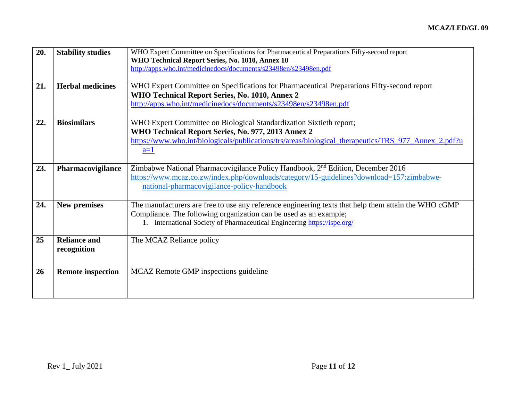| 20. | <b>Stability studies</b>           | WHO Expert Committee on Specifications for Pharmaceutical Preparations Fifty-second report<br>WHO Technical Report Series, No. 1010, Annex 10<br>http://apps.who.int/medicinedocs/documents/s23498en/s23498en.pdf                                                  |
|-----|------------------------------------|--------------------------------------------------------------------------------------------------------------------------------------------------------------------------------------------------------------------------------------------------------------------|
| 21. | <b>Herbal medicines</b>            | WHO Expert Committee on Specifications for Pharmaceutical Preparations Fifty-second report<br>WHO Technical Report Series, No. 1010, Annex 2<br>http://apps.who.int/medicinedocs/documents/s23498en/s23498en.pdf                                                   |
| 22. | <b>Biosimilars</b>                 | WHO Expert Committee on Biological Standardization Sixtieth report;<br>WHO Technical Report Series, No. 977, 2013 Annex 2<br>https://www.who.int/biologicals/publications/trs/areas/biological_therapeutics/TRS_977_Annex_2.pdf?u<br>$a=1$                         |
| 23. | Pharmacovigilance                  | Zimbabwe National Pharmacovigilance Policy Handbook, 2 <sup>nd</sup> Edition, December 2016<br>https://www.mcaz.co.zw/index.php/downloads/category/15-guidelines?download=157:zimbabwe-<br>national-pharmacovigilance-policy-handbook                              |
| 24. | <b>New premises</b>                | The manufacturers are free to use any reference engineering texts that help them attain the WHO cGMP<br>Compliance. The following organization can be used as an example;<br>International Society of Pharmaceutical Engineering https://ispe.org/<br>$1_{\cdots}$ |
| 25  | <b>Reliance and</b><br>recognition | The MCAZ Reliance policy                                                                                                                                                                                                                                           |
| 26  | <b>Remote inspection</b>           | MCAZ Remote GMP inspections guideline                                                                                                                                                                                                                              |